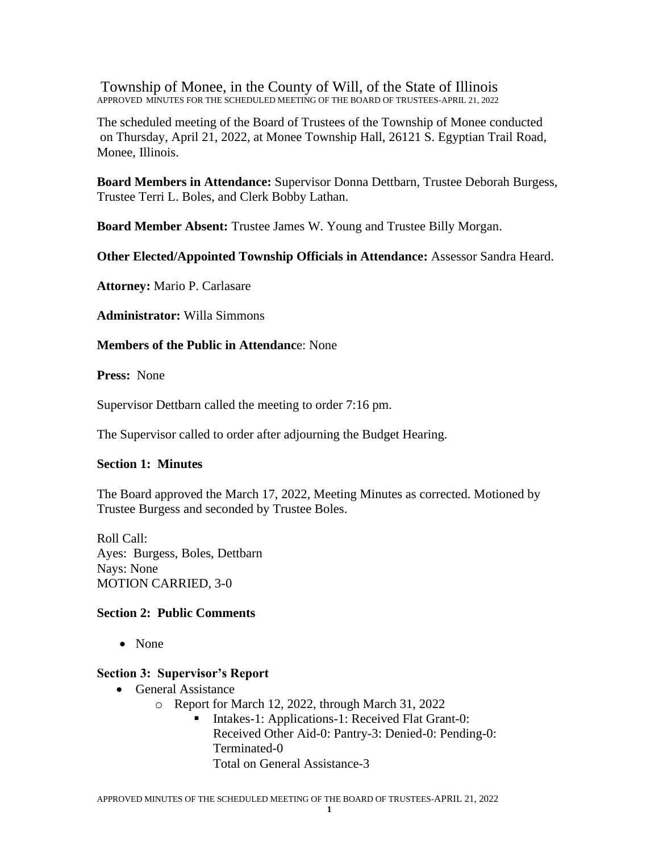Township of Monee, in the County of Will, of the State of Illinois APPROVED MINUTES FOR THE SCHEDULED MEETING OF THE BOARD OF TRUSTEES-APRIL 21, 2022

The scheduled meeting of the Board of Trustees of the Township of Monee conducted on Thursday, April 21, 2022, at Monee Township Hall, 26121 S. Egyptian Trail Road, Monee, Illinois.

**Board Members in Attendance:** Supervisor Donna Dettbarn, Trustee Deborah Burgess, Trustee Terri L. Boles, and Clerk Bobby Lathan.

**Board Member Absent:** Trustee James W. Young and Trustee Billy Morgan.

**Other Elected/Appointed Township Officials in Attendance:** Assessor Sandra Heard.

**Attorney:** Mario P. Carlasare

**Administrator:** Willa Simmons

**Members of the Public in Attendanc**e: None

**Press:** None

Supervisor Dettbarn called the meeting to order 7:16 pm.

The Supervisor called to order after adjourning the Budget Hearing.

#### **Section 1: Minutes**

The Board approved the March 17, 2022, Meeting Minutes as corrected. Motioned by Trustee Burgess and seconded by Trustee Boles.

Roll Call: Ayes: Burgess, Boles, Dettbarn Nays: None MOTION CARRIED, 3-0

#### **Section 2: Public Comments**

• None

#### **Section 3: Supervisor's Report**

- General Assistance
	- o Report for March 12, 2022, through March 31, 2022
		- Intakes-1: Applications-1: Received Flat Grant-0: Received Other Aid-0: Pantry-3: Denied-0: Pending-0: Terminated-0 Total on General Assistance-3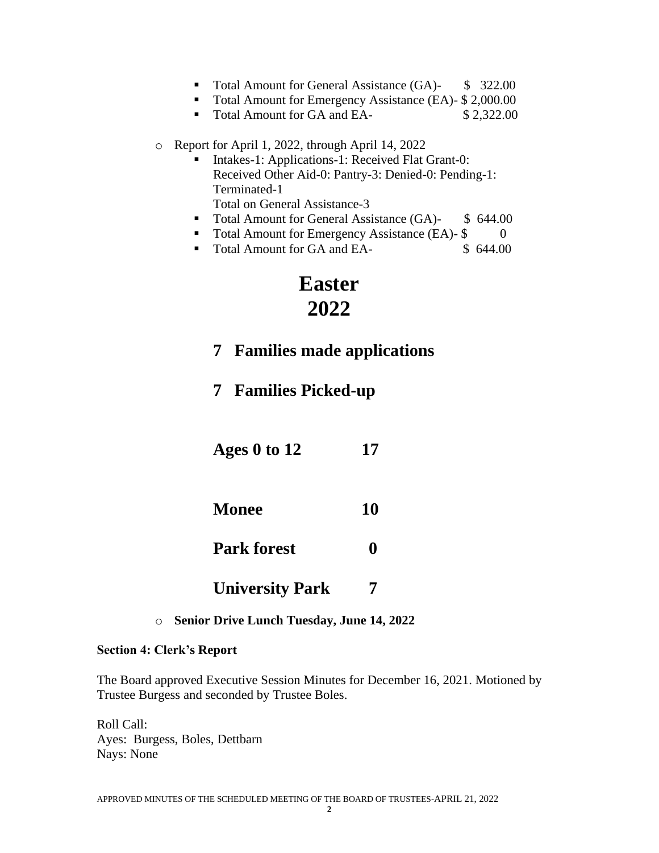- Total Amount for General Assistance (GA)- \$ 322.00
- Total Amount for Emergency Assistance (EA)- \$ 2,000.00
- Total Amount for GA and EA- \$2,322.00
- o Report for April 1, 2022, through April 14, 2022
	- Intakes-1: Applications-1: Received Flat Grant-0: Received Other Aid-0: Pantry-3: Denied-0: Pending-1: Terminated-1 Total on General Assistance-3
	- Total Amount for General Assistance (GA)- \$ 644.00
	- Total Amount for Emergency Assistance (EA)- \$ 0
	- Total Amount for GA and EA- \$ 644,00

# **Easter 2022**

- **7 Families made applications**
- **7 Families Picked-up**
- **Ages 0 to 12 17**
- **Monee 10**
- Park forest 0
- **University Park 7**
- o **Senior Drive Lunch Tuesday, June 14, 2022**

## **Section 4: Clerk's Report**

The Board approved Executive Session Minutes for December 16, 2021. Motioned by Trustee Burgess and seconded by Trustee Boles.

Roll Call: Ayes: Burgess, Boles, Dettbarn Nays: None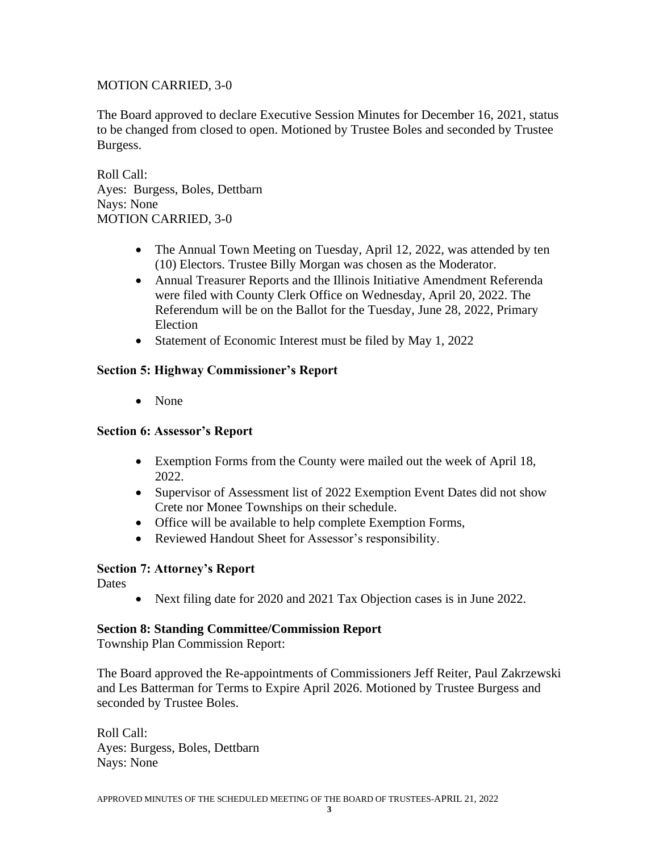# MOTION CARRIED, 3-0

The Board approved to declare Executive Session Minutes for December 16, 2021, status to be changed from closed to open. Motioned by Trustee Boles and seconded by Trustee Burgess.

Roll Call: Ayes: Burgess, Boles, Dettbarn Nays: None MOTION CARRIED, 3-0

- The Annual Town Meeting on Tuesday, April 12, 2022, was attended by ten (10) Electors. Trustee Billy Morgan was chosen as the Moderator.
- Annual Treasurer Reports and the Illinois Initiative Amendment Referenda were filed with County Clerk Office on Wednesday, April 20, 2022. The Referendum will be on the Ballot for the Tuesday, June 28, 2022, Primary Election
- Statement of Economic Interest must be filed by May 1, 2022

# **Section 5: Highway Commissioner's Report**

• None

## **Section 6: Assessor's Report**

- Exemption Forms from the County were mailed out the week of April 18, 2022.
- Supervisor of Assessment list of 2022 Exemption Event Dates did not show Crete nor Monee Townships on their schedule.
- Office will be available to help complete Exemption Forms,
- Reviewed Handout Sheet for Assessor's responsibility.

# **Section 7: Attorney's Report**

**Dates** 

• Next filing date for 2020 and 2021 Tax Objection cases is in June 2022.

## **Section 8: Standing Committee/Commission Report**

Township Plan Commission Report:

The Board approved the Re-appointments of Commissioners Jeff Reiter, Paul Zakrzewski and Les Batterman for Terms to Expire April 2026. Motioned by Trustee Burgess and seconded by Trustee Boles.

Roll Call: Ayes: Burgess, Boles, Dettbarn Nays: None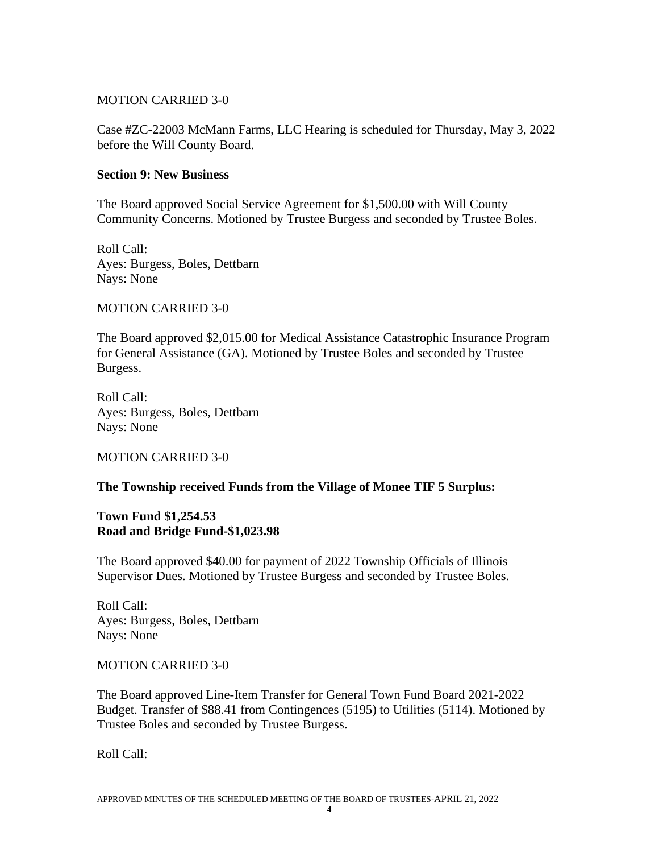## MOTION CARRIED 3-0

Case #ZC-22003 McMann Farms, LLC Hearing is scheduled for Thursday, May 3, 2022 before the Will County Board.

#### **Section 9: New Business**

The Board approved Social Service Agreement for \$1,500.00 with Will County Community Concerns. Motioned by Trustee Burgess and seconded by Trustee Boles.

Roll Call: Ayes: Burgess, Boles, Dettbarn Nays: None

MOTION CARRIED 3-0

The Board approved \$2,015.00 for Medical Assistance Catastrophic Insurance Program for General Assistance (GA). Motioned by Trustee Boles and seconded by Trustee Burgess.

Roll Call: Ayes: Burgess, Boles, Dettbarn Nays: None

MOTION CARRIED 3-0

## **The Township received Funds from the Village of Monee TIF 5 Surplus:**

#### **Town Fund \$1,254.53 Road and Bridge Fund-\$1,023.98**

The Board approved \$40.00 for payment of 2022 Township Officials of Illinois Supervisor Dues. Motioned by Trustee Burgess and seconded by Trustee Boles.

Roll Call: Ayes: Burgess, Boles, Dettbarn Nays: None

## MOTION CARRIED 3-0

The Board approved Line-Item Transfer for General Town Fund Board 2021-2022 Budget. Transfer of \$88.41 from Contingences (5195) to Utilities (5114). Motioned by Trustee Boles and seconded by Trustee Burgess.

Roll Call: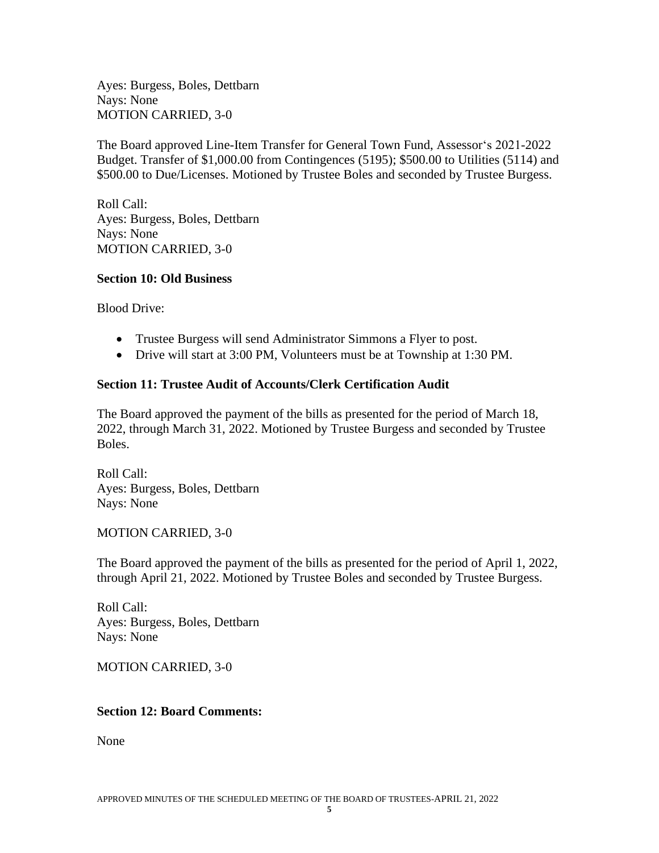Ayes: Burgess, Boles, Dettbarn Nays: None MOTION CARRIED, 3-0

The Board approved Line-Item Transfer for General Town Fund, Assessor's 2021-2022 Budget. Transfer of \$1,000.00 from Contingences (5195); \$500.00 to Utilities (5114) and \$500.00 to Due/Licenses. Motioned by Trustee Boles and seconded by Trustee Burgess.

Roll Call: Ayes: Burgess, Boles, Dettbarn Nays: None MOTION CARRIED, 3-0

## **Section 10: Old Business**

Blood Drive:

- Trustee Burgess will send Administrator Simmons a Flyer to post.
- Drive will start at 3:00 PM, Volunteers must be at Township at 1:30 PM.

## **Section 11: Trustee Audit of Accounts/Clerk Certification Audit**

The Board approved the payment of the bills as presented for the period of March 18, 2022, through March 31, 2022. Motioned by Trustee Burgess and seconded by Trustee Boles.

Roll Call: Ayes: Burgess, Boles, Dettbarn Nays: None

MOTION CARRIED, 3-0

The Board approved the payment of the bills as presented for the period of April 1, 2022, through April 21, 2022. Motioned by Trustee Boles and seconded by Trustee Burgess.

Roll Call: Ayes: Burgess, Boles, Dettbarn Nays: None

MOTION CARRIED, 3-0

## **Section 12: Board Comments:**

None